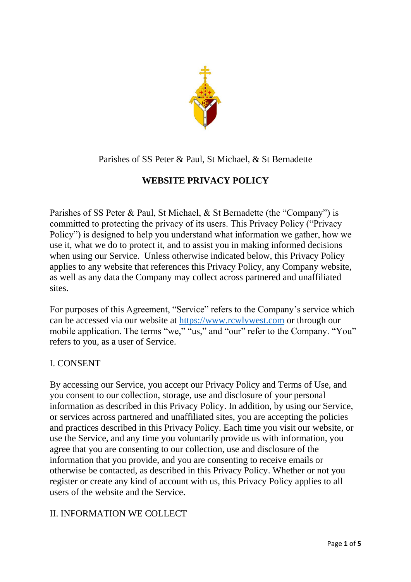

# Parishes of SS Peter & Paul, St Michael, & St Bernadette

# **WEBSITE PRIVACY POLICY**

Parishes of SS Peter & Paul, St Michael, & St Bernadette (the "Company") is committed to protecting the privacy of its users. This Privacy Policy ("Privacy Policy") is designed to help you understand what information we gather, how we use it, what we do to protect it, and to assist you in making informed decisions when using our Service. Unless otherwise indicated below, this Privacy Policy applies to any website that references this Privacy Policy, any Company website, as well as any data the Company may collect across partnered and unaffiliated sites.

For purposes of this Agreement, "Service" refers to the Company's service which can be accessed via our website at [https://www.rcwlvwest.com](https://www.rcwlvwest.com/) or through our mobile application. The terms "we," "us," and "our" refer to the Company. "You" refers to you, as a user of Service.

# I. CONSENT

By accessing our Service, you accept our Privacy Policy and Terms of Use, and you consent to our collection, storage, use and disclosure of your personal information as described in this Privacy Policy. In addition, by using our Service, or services across partnered and unaffiliated sites, you are accepting the policies and practices described in this Privacy Policy. Each time you visit our website, or use the Service, and any time you voluntarily provide us with information, you agree that you are consenting to our collection, use and disclosure of the information that you provide, and you are consenting to receive emails or otherwise be contacted, as described in this Privacy Policy. Whether or not you register or create any kind of account with us, this Privacy Policy applies to all users of the website and the Service.

# II. INFORMATION WE COLLECT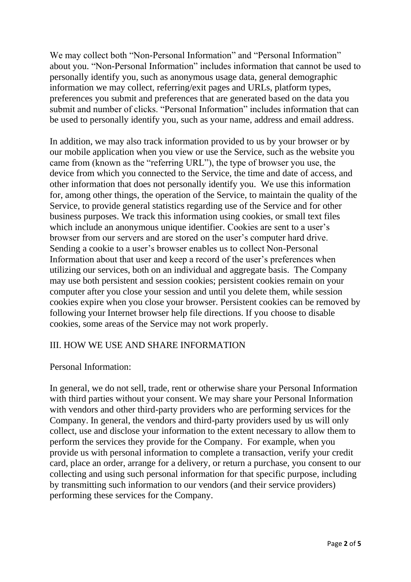We may collect both "Non-Personal Information" and "Personal Information" about you. "Non-Personal Information" includes information that cannot be used to personally identify you, such as anonymous usage data, general demographic information we may collect, referring/exit pages and URLs, platform types, preferences you submit and preferences that are generated based on the data you submit and number of clicks. "Personal Information" includes information that can be used to personally identify you, such as your name, address and email address.

In addition, we may also track information provided to us by your browser or by our mobile application when you view or use the Service, such as the website you came from (known as the "referring URL"), the type of browser you use, the device from which you connected to the Service, the time and date of access, and other information that does not personally identify you. We use this information for, among other things, the operation of the Service, to maintain the quality of the Service, to provide general statistics regarding use of the Service and for other business purposes. We track this information using cookies, or small text files which include an anonymous unique identifier. Cookies are sent to a user's browser from our servers and are stored on the user's computer hard drive. Sending a cookie to a user's browser enables us to collect Non-Personal Information about that user and keep a record of the user's preferences when utilizing our services, both on an individual and aggregate basis. The Company may use both persistent and session cookies; persistent cookies remain on your computer after you close your session and until you delete them, while session cookies expire when you close your browser. Persistent cookies can be removed by following your Internet browser help file directions. If you choose to disable cookies, some areas of the Service may not work properly.

### III. HOW WE USE AND SHARE INFORMATION

### Personal Information:

In general, we do not sell, trade, rent or otherwise share your Personal Information with third parties without your consent. We may share your Personal Information with vendors and other third-party providers who are performing services for the Company. In general, the vendors and third-party providers used by us will only collect, use and disclose your information to the extent necessary to allow them to perform the services they provide for the Company. For example, when you provide us with personal information to complete a transaction, verify your credit card, place an order, arrange for a delivery, or return a purchase, you consent to our collecting and using such personal information for that specific purpose, including by transmitting such information to our vendors (and their service providers) performing these services for the Company.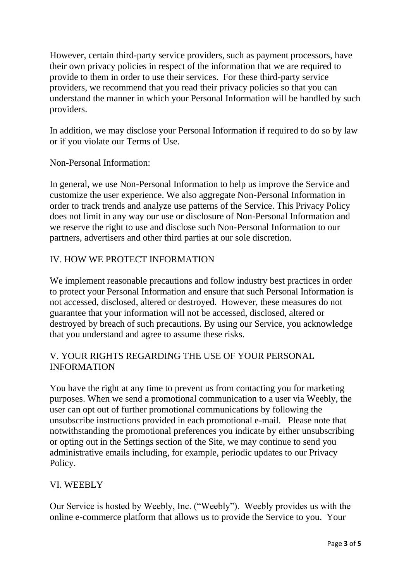However, certain third-party service providers, such as payment processors, have their own privacy policies in respect of the information that we are required to provide to them in order to use their services. For these third-party service providers, we recommend that you read their privacy policies so that you can understand the manner in which your Personal Information will be handled by such providers.

In addition, we may disclose your Personal Information if required to do so by law or if you violate our Terms of Use.

Non-Personal Information:

In general, we use Non-Personal Information to help us improve the Service and customize the user experience. We also aggregate Non-Personal Information in order to track trends and analyze use patterns of the Service. This Privacy Policy does not limit in any way our use or disclosure of Non-Personal Information and we reserve the right to use and disclose such Non-Personal Information to our partners, advertisers and other third parties at our sole discretion.

## IV. HOW WE PROTECT INFORMATION

We implement reasonable precautions and follow industry best practices in order to protect your Personal Information and ensure that such Personal Information is not accessed, disclosed, altered or destroyed. However, these measures do not guarantee that your information will not be accessed, disclosed, altered or destroyed by breach of such precautions. By using our Service, you acknowledge that you understand and agree to assume these risks.

## V. YOUR RIGHTS REGARDING THE USE OF YOUR PERSONAL INFORMATION

You have the right at any time to prevent us from contacting you for marketing purposes. When we send a promotional communication to a user via Weebly, the user can opt out of further promotional communications by following the unsubscribe instructions provided in each promotional e-mail. Please note that notwithstanding the promotional preferences you indicate by either unsubscribing or opting out in the Settings section of the Site, we may continue to send you administrative emails including, for example, periodic updates to our Privacy Policy.

# VI. WEEBLY

Our Service is hosted by Weebly, Inc. ("Weebly"). Weebly provides us with the online e-commerce platform that allows us to provide the Service to you. Your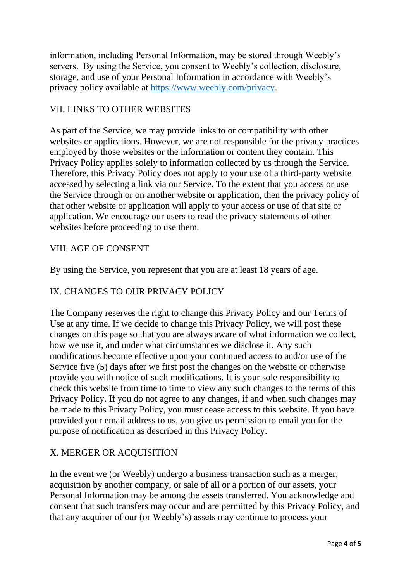information, including Personal Information, may be stored through Weebly's servers. By using the Service, you consent to Weebly's collection, disclosure, storage, and use of your Personal Information in accordance with Weebly's privacy policy available at [https://www.weebly.com/privacy.](https://www.weebly.com/privacy)

## VII. LINKS TO OTHER WEBSITES

As part of the Service, we may provide links to or compatibility with other websites or applications. However, we are not responsible for the privacy practices employed by those websites or the information or content they contain. This Privacy Policy applies solely to information collected by us through the Service. Therefore, this Privacy Policy does not apply to your use of a third-party website accessed by selecting a link via our Service. To the extent that you access or use the Service through or on another website or application, then the privacy policy of that other website or application will apply to your access or use of that site or application. We encourage our users to read the privacy statements of other websites before proceeding to use them.

### VIII. AGE OF CONSENT

By using the Service, you represent that you are at least 18 years of age.

## IX. CHANGES TO OUR PRIVACY POLICY

The Company reserves the right to change this Privacy Policy and our Terms of Use at any time. If we decide to change this Privacy Policy, we will post these changes on this page so that you are always aware of what information we collect, how we use it, and under what circumstances we disclose it. Any such modifications become effective upon your continued access to and/or use of the Service five (5) days after we first post the changes on the website or otherwise provide you with notice of such modifications. It is your sole responsibility to check this website from time to time to view any such changes to the terms of this Privacy Policy. If you do not agree to any changes, if and when such changes may be made to this Privacy Policy, you must cease access to this website. If you have provided your email address to us, you give us permission to email you for the purpose of notification as described in this Privacy Policy.

### X. MERGER OR ACQUISITION

In the event we (or Weebly) undergo a business transaction such as a merger, acquisition by another company, or sale of all or a portion of our assets, your Personal Information may be among the assets transferred. You acknowledge and consent that such transfers may occur and are permitted by this Privacy Policy, and that any acquirer of our (or Weebly's) assets may continue to process your